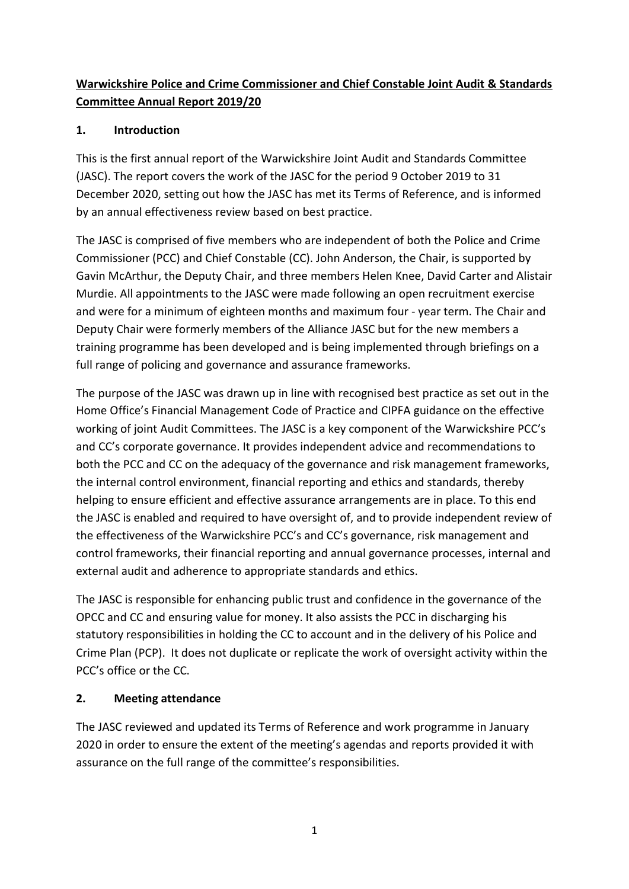# Warwickshire Police and Crime Commissioner and Chief Constable Joint Audit & Standards Committee Annual Report 2019/20

## 1. Introduction

This is the first annual report of the Warwickshire Joint Audit and Standards Committee (JASC). The report covers the work of the JASC for the period 9 October 2019 to 31 December 2020, setting out how the JASC has met its Terms of Reference, and is informed by an annual effectiveness review based on best practice.

The JASC is comprised of five members who are independent of both the Police and Crime Commissioner (PCC) and Chief Constable (CC). John Anderson, the Chair, is supported by Gavin McArthur, the Deputy Chair, and three members Helen Knee, David Carter and Alistair Murdie. All appointments to the JASC were made following an open recruitment exercise and were for a minimum of eighteen months and maximum four - year term. The Chair and Deputy Chair were formerly members of the Alliance JASC but for the new members a training programme has been developed and is being implemented through briefings on a full range of policing and governance and assurance frameworks.

The purpose of the JASC was drawn up in line with recognised best practice as set out in the Home Office's Financial Management Code of Practice and CIPFA guidance on the effective working of joint Audit Committees. The JASC is a key component of the Warwickshire PCC's and CC's corporate governance. It provides independent advice and recommendations to both the PCC and CC on the adequacy of the governance and risk management frameworks, the internal control environment, financial reporting and ethics and standards, thereby helping to ensure efficient and effective assurance arrangements are in place. To this end the JASC is enabled and required to have oversight of, and to provide independent review of the effectiveness of the Warwickshire PCC's and CC's governance, risk management and control frameworks, their financial reporting and annual governance processes, internal and external audit and adherence to appropriate standards and ethics.

The JASC is responsible for enhancing public trust and confidence in the governance of the OPCC and CC and ensuring value for money. It also assists the PCC in discharging his statutory responsibilities in holding the CC to account and in the delivery of his Police and Crime Plan (PCP). It does not duplicate or replicate the work of oversight activity within the PCC's office or the CC.

### 2. Meeting attendance

The JASC reviewed and updated its Terms of Reference and work programme in January 2020 in order to ensure the extent of the meeting's agendas and reports provided it with assurance on the full range of the committee's responsibilities.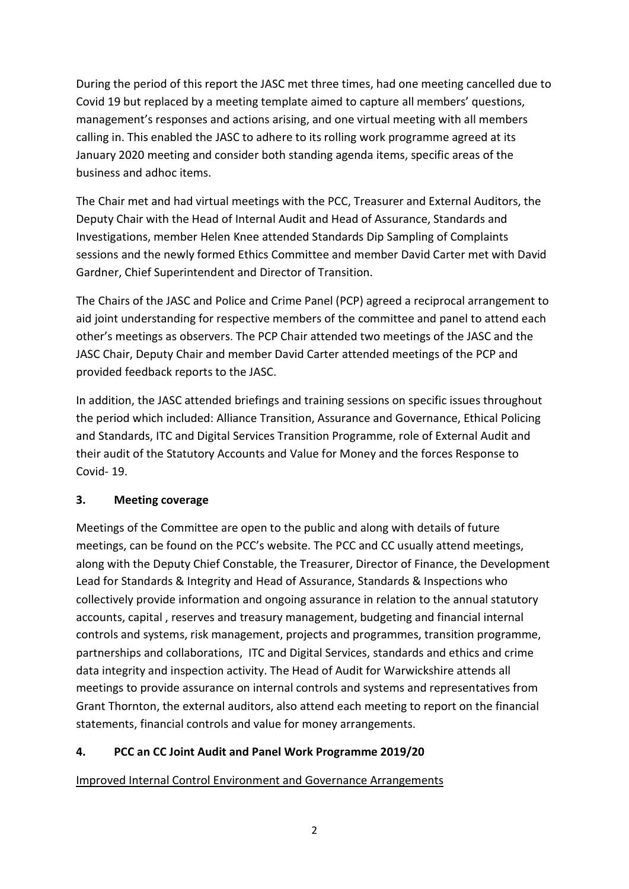During the period of this report the JASC met three times, had one meeting cancelled due to Covid 19 but replaced by a meeting template aimed to capture all members' questions, management's responses and actions arising, and one virtual meeting with all members calling in. This enabled the JASC to adhere to its rolling work programme agreed at its January 2020 meeting and consider both standing agenda items, specific areas of the business and adhoc items.

The Chair met and had virtual meetings with the PCC, Treasurer and External Auditors, the Deputy Chair with the Head of Internal Audit and Head of Assurance, Standards and Investigations, member Helen Knee attended Standards Dip Sampling of Complaints sessions and the newly formed Ethics Committee and member David Carter met with David Gardner, Chief Superintendent and Director of Transition.

The Chairs of the JASC and Police and Crime Panel (PCP) agreed a reciprocal arrangement to aid joint understanding for respective members of the committee and panel to attend each other's meetings as observers. The PCP Chair attended two meetings of the JASC and the JASC Chair, Deputy Chair and member David Carter attended meetings of the PCP and provided feedback reports to the JASC.

In addition, the JASC attended briefings and training sessions on specific issues throughout the period which included: Alliance Transition, Assurance and Governance, Ethical Policing and Standards, ITC and Digital Services Transition Programme, role of External Audit and their audit of the Statutory Accounts and Value for Money and the forces Response to Covid- 19.

### 3. Meeting coverage

Meetings of the Committee are open to the public and along with details of future meetings, can be found on the PCC's website. The PCC and CC usually attend meetings, along with the Deputy Chief Constable, the Treasurer, Director of Finance, the Development Lead for Standards & Integrity and Head of Assurance, Standards & Inspections who collectively provide information and ongoing assurance in relation to the annual statutory accounts, capital , reserves and treasury management, budgeting and financial internal controls and systems, risk management, projects and programmes, transition programme, partnerships and collaborations, ITC and Digital Services, standards and ethics and crime data integrity and inspection activity. The Head of Audit for Warwickshire attends all meetings to provide assurance on internal controls and systems and representatives from Grant Thornton, the external auditors, also attend each meeting to report on the financial statements, financial controls and value for money arrangements.

### 4. PCC an CC Joint Audit and Panel Work Programme 2019/20

Improved Internal Control Environment and Governance Arrangements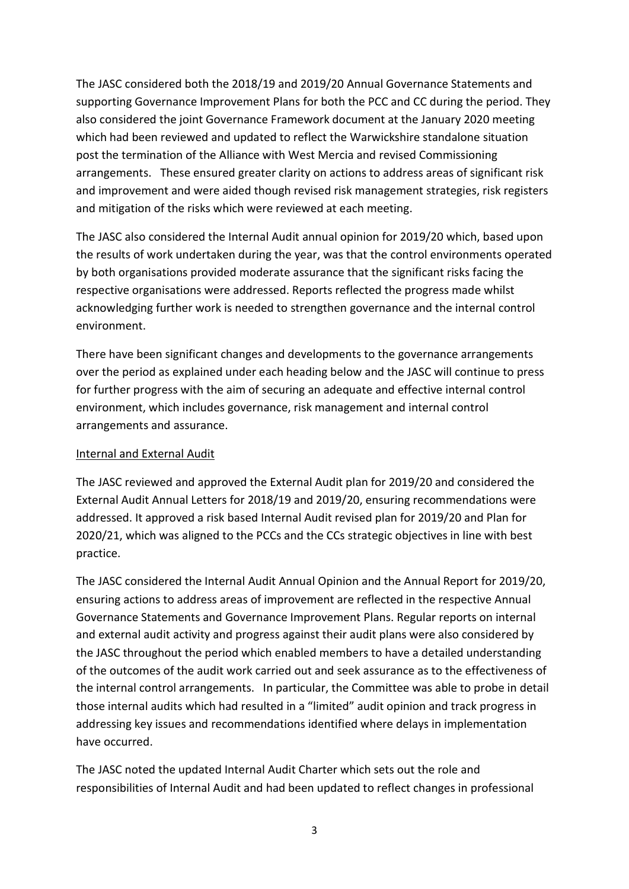The JASC considered both the 2018/19 and 2019/20 Annual Governance Statements and supporting Governance Improvement Plans for both the PCC and CC during the period. They also considered the joint Governance Framework document at the January 2020 meeting which had been reviewed and updated to reflect the Warwickshire standalone situation post the termination of the Alliance with West Mercia and revised Commissioning arrangements. These ensured greater clarity on actions to address areas of significant risk and improvement and were aided though revised risk management strategies, risk registers and mitigation of the risks which were reviewed at each meeting.

The JASC also considered the Internal Audit annual opinion for 2019/20 which, based upon the results of work undertaken during the year, was that the control environments operated by both organisations provided moderate assurance that the significant risks facing the respective organisations were addressed. Reports reflected the progress made whilst acknowledging further work is needed to strengthen governance and the internal control environment.

There have been significant changes and developments to the governance arrangements over the period as explained under each heading below and the JASC will continue to press for further progress with the aim of securing an adequate and effective internal control environment, which includes governance, risk management and internal control arrangements and assurance.

### Internal and External Audit

The JASC reviewed and approved the External Audit plan for 2019/20 and considered the External Audit Annual Letters for 2018/19 and 2019/20, ensuring recommendations were addressed. It approved a risk based Internal Audit revised plan for 2019/20 and Plan for 2020/21, which was aligned to the PCCs and the CCs strategic objectives in line with best practice.

The JASC considered the Internal Audit Annual Opinion and the Annual Report for 2019/20, ensuring actions to address areas of improvement are reflected in the respective Annual Governance Statements and Governance Improvement Plans. Regular reports on internal and external audit activity and progress against their audit plans were also considered by the JASC throughout the period which enabled members to have a detailed understanding of the outcomes of the audit work carried out and seek assurance as to the effectiveness of the internal control arrangements. In particular, the Committee was able to probe in detail those internal audits which had resulted in a "limited" audit opinion and track progress in addressing key issues and recommendations identified where delays in implementation have occurred.

The JASC noted the updated Internal Audit Charter which sets out the role and responsibilities of Internal Audit and had been updated to reflect changes in professional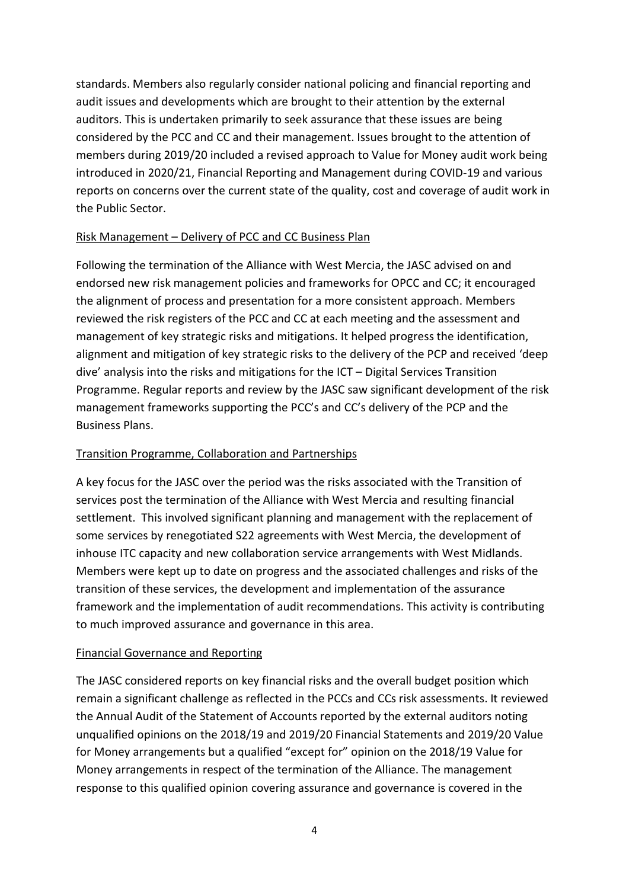standards. Members also regularly consider national policing and financial reporting and audit issues and developments which are brought to their attention by the external auditors. This is undertaken primarily to seek assurance that these issues are being considered by the PCC and CC and their management. Issues brought to the attention of members during 2019/20 included a revised approach to Value for Money audit work being introduced in 2020/21, Financial Reporting and Management during COVID-19 and various reports on concerns over the current state of the quality, cost and coverage of audit work in the Public Sector.

### Risk Management – Delivery of PCC and CC Business Plan

Following the termination of the Alliance with West Mercia, the JASC advised on and endorsed new risk management policies and frameworks for OPCC and CC; it encouraged the alignment of process and presentation for a more consistent approach. Members reviewed the risk registers of the PCC and CC at each meeting and the assessment and management of key strategic risks and mitigations. It helped progress the identification, alignment and mitigation of key strategic risks to the delivery of the PCP and received 'deep dive' analysis into the risks and mitigations for the ICT – Digital Services Transition Programme. Regular reports and review by the JASC saw significant development of the risk management frameworks supporting the PCC's and CC's delivery of the PCP and the Business Plans.

### Transition Programme, Collaboration and Partnerships

A key focus for the JASC over the period was the risks associated with the Transition of services post the termination of the Alliance with West Mercia and resulting financial settlement. This involved significant planning and management with the replacement of some services by renegotiated S22 agreements with West Mercia, the development of inhouse ITC capacity and new collaboration service arrangements with West Midlands. Members were kept up to date on progress and the associated challenges and risks of the transition of these services, the development and implementation of the assurance framework and the implementation of audit recommendations. This activity is contributing to much improved assurance and governance in this area.

#### Financial Governance and Reporting

The JASC considered reports on key financial risks and the overall budget position which remain a significant challenge as reflected in the PCCs and CCs risk assessments. It reviewed the Annual Audit of the Statement of Accounts reported by the external auditors noting unqualified opinions on the 2018/19 and 2019/20 Financial Statements and 2019/20 Value for Money arrangements but a qualified "except for" opinion on the 2018/19 Value for Money arrangements in respect of the termination of the Alliance. The management response to this qualified opinion covering assurance and governance is covered in the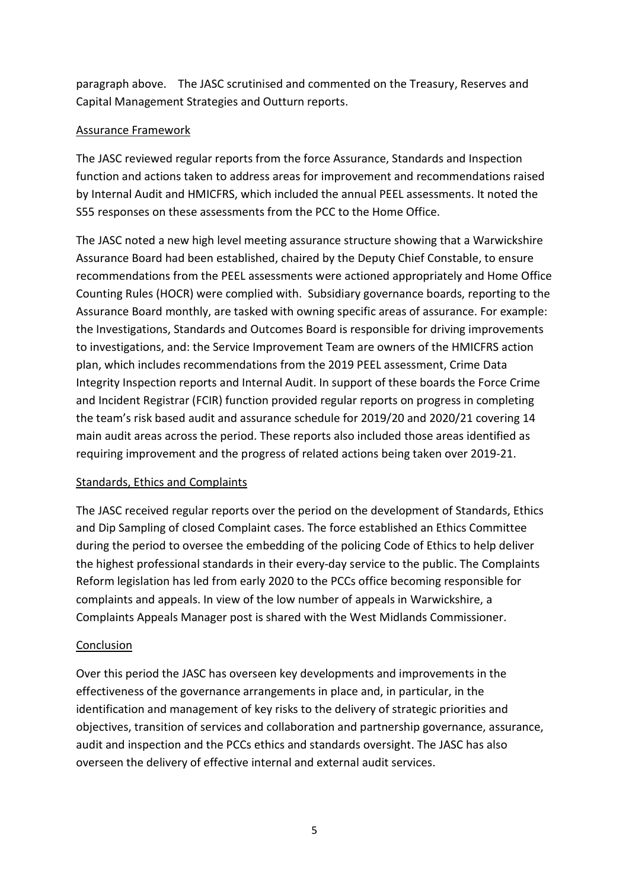paragraph above. The JASC scrutinised and commented on the Treasury, Reserves and Capital Management Strategies and Outturn reports.

#### Assurance Framework

The JASC reviewed regular reports from the force Assurance, Standards and Inspection function and actions taken to address areas for improvement and recommendations raised by Internal Audit and HMICFRS, which included the annual PEEL assessments. It noted the S55 responses on these assessments from the PCC to the Home Office.

The JASC noted a new high level meeting assurance structure showing that a Warwickshire Assurance Board had been established, chaired by the Deputy Chief Constable, to ensure recommendations from the PEEL assessments were actioned appropriately and Home Office Counting Rules (HOCR) were complied with. Subsidiary governance boards, reporting to the Assurance Board monthly, are tasked with owning specific areas of assurance. For example: the Investigations, Standards and Outcomes Board is responsible for driving improvements to investigations, and: the Service Improvement Team are owners of the HMICFRS action plan, which includes recommendations from the 2019 PEEL assessment, Crime Data Integrity Inspection reports and Internal Audit. In support of these boards the Force Crime and Incident Registrar (FCIR) function provided regular reports on progress in completing the team's risk based audit and assurance schedule for 2019/20 and 2020/21 covering 14 main audit areas across the period. These reports also included those areas identified as requiring improvement and the progress of related actions being taken over 2019-21.

### Standards, Ethics and Complaints

The JASC received regular reports over the period on the development of Standards, Ethics and Dip Sampling of closed Complaint cases. The force established an Ethics Committee during the period to oversee the embedding of the policing Code of Ethics to help deliver the highest professional standards in their every-day service to the public. The Complaints Reform legislation has led from early 2020 to the PCCs office becoming responsible for complaints and appeals. In view of the low number of appeals in Warwickshire, a Complaints Appeals Manager post is shared with the West Midlands Commissioner.

### Conclusion

Over this period the JASC has overseen key developments and improvements in the effectiveness of the governance arrangements in place and, in particular, in the identification and management of key risks to the delivery of strategic priorities and objectives, transition of services and collaboration and partnership governance, assurance, audit and inspection and the PCCs ethics and standards oversight. The JASC has also overseen the delivery of effective internal and external audit services.